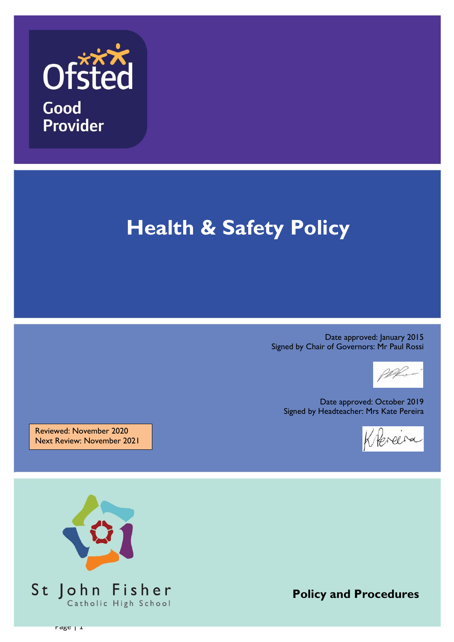

# **Health & Safety Policy**

Date approved: January 2015 Signed by Chair of Governors: Mr Paul Rossi



Date approved: October 2019 Signed by Headteacher: Mrs Kate Pereira

Keneera

Reviewed: November 2020 Next Review: November 2021



**Policy and Procedures**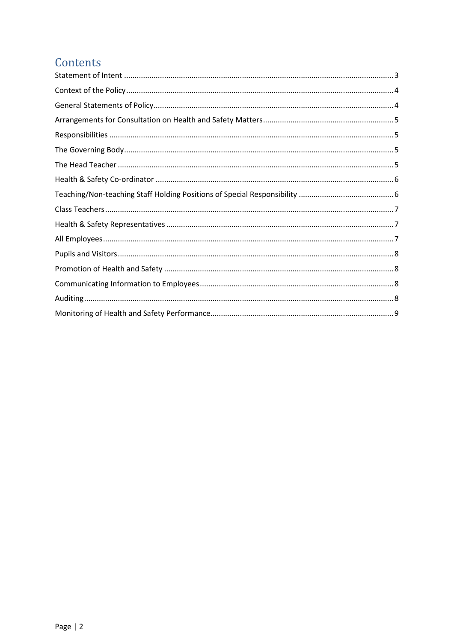#### Contents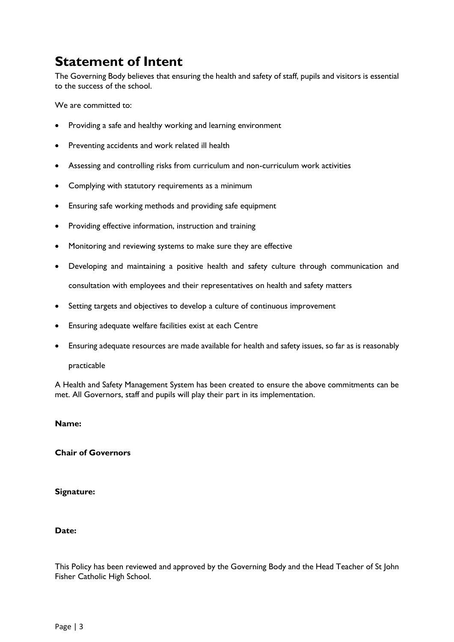#### <span id="page-2-0"></span>**Statement of Intent**

The Governing Body believes that ensuring the health and safety of staff, pupils and visitors is essential to the success of the school.

We are committed to:

- Providing a safe and healthy working and learning environment
- Preventing accidents and work related ill health
- Assessing and controlling risks from curriculum and non-curriculum work activities
- Complying with statutory requirements as a minimum
- Ensuring safe working methods and providing safe equipment
- Providing effective information, instruction and training
- Monitoring and reviewing systems to make sure they are effective
- Developing and maintaining a positive health and safety culture through communication and consultation with employees and their representatives on health and safety matters
- Setting targets and objectives to develop a culture of continuous improvement
- Ensuring adequate welfare facilities exist at each Centre
- Ensuring adequate resources are made available for health and safety issues, so far as is reasonably

#### practicable

A Health and Safety Management System has been created to ensure the above commitments can be met. All Governors, staff and pupils will play their part in its implementation.

#### **Name:**

**Chair of Governors**

**Signature:** 

#### **Date:**

This Policy has been reviewed and approved by the Governing Body and the Head Teacher of St John Fisher Catholic High School.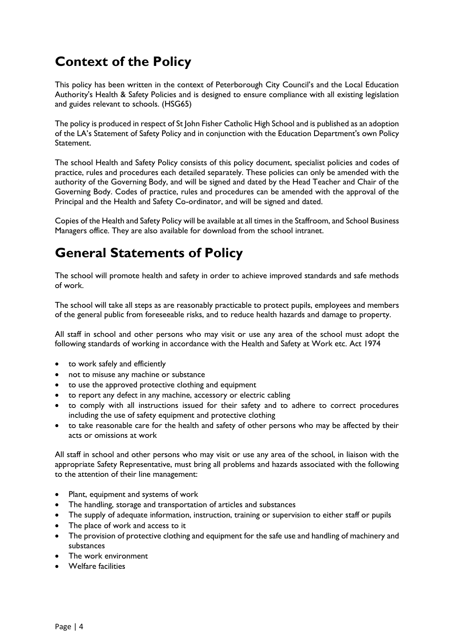#### <span id="page-3-0"></span>**Context of the Policy**

This policy has been written in the context of Peterborough City Council's and the Local Education Authority's Health & Safety Policies and is designed to ensure compliance with all existing legislation and guides relevant to schools. (HSG65)

The policy is produced in respect of St John Fisher Catholic High School and is published as an adoption of the LA's Statement of Safety Policy and in conjunction with the Education Department's own Policy Statement.

The school Health and Safety Policy consists of this policy document, specialist policies and codes of practice, rules and procedures each detailed separately. These policies can only be amended with the authority of the Governing Body, and will be signed and dated by the Head Teacher and Chair of the Governing Body. Codes of practice, rules and procedures can be amended with the approval of the Principal and the Health and Safety Co-ordinator, and will be signed and dated.

Copies of the Health and Safety Policy will be available at all times in the Staffroom, and School Business Managers office. They are also available for download from the school intranet.

### <span id="page-3-1"></span>**General Statements of Policy**

The school will promote health and safety in order to achieve improved standards and safe methods of work.

The school will take all steps as are reasonably practicable to protect pupils, employees and members of the general public from foreseeable risks, and to reduce health hazards and damage to property.

All staff in school and other persons who may visit or use any area of the school must adopt the following standards of working in accordance with the Health and Safety at Work etc. Act 1974

- to work safely and efficiently
- not to misuse any machine or substance
- to use the approved protective clothing and equipment
- to report any defect in any machine, accessory or electric cabling
- to comply with all instructions issued for their safety and to adhere to correct procedures including the use of safety equipment and protective clothing
- to take reasonable care for the health and safety of other persons who may be affected by their acts or omissions at work

All staff in school and other persons who may visit or use any area of the school, in liaison with the appropriate Safety Representative, must bring all problems and hazards associated with the following to the attention of their line management:

- Plant, equipment and systems of work
- The handling, storage and transportation of articles and substances
- The supply of adequate information, instruction, training or supervision to either staff or pupils
- The place of work and access to it
- The provision of protective clothing and equipment for the safe use and handling of machinery and substances
- The work environment
- Welfare facilities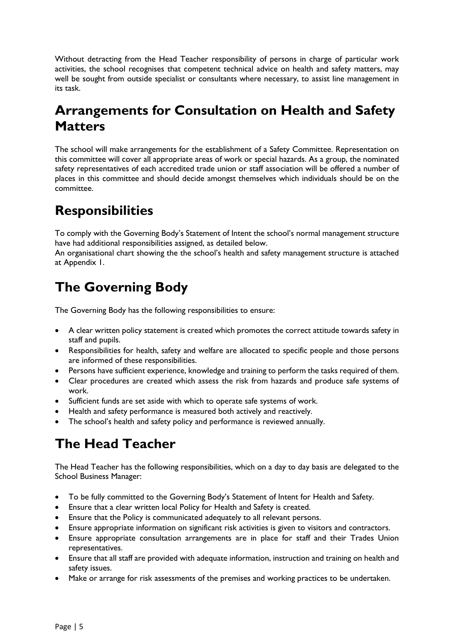Without detracting from the Head Teacher responsibility of persons in charge of particular work activities, the school recognises that competent technical advice on health and safety matters, may well be sought from outside specialist or consultants where necessary, to assist line management in its task.

### <span id="page-4-0"></span>**Arrangements for Consultation on Health and Safety Matters**

The school will make arrangements for the establishment of a Safety Committee. Representation on this committee will cover all appropriate areas of work or special hazards. As a group, the nominated safety representatives of each accredited trade union or staff association will be offered a number of places in this committee and should decide amongst themselves which individuals should be on the committee.

# <span id="page-4-1"></span>**Responsibilities**

To comply with the Governing Body's Statement of Intent the school's normal management structure have had additional responsibilities assigned, as detailed below.

An organisational chart showing the the school's health and safety management structure is attached at Appendix 1.

# <span id="page-4-2"></span>**The Governing Body**

The Governing Body has the following responsibilities to ensure:

- A clear written policy statement is created which promotes the correct attitude towards safety in staff and pupils.
- Responsibilities for health, safety and welfare are allocated to specific people and those persons are informed of these responsibilities.
- Persons have sufficient experience, knowledge and training to perform the tasks required of them.
- Clear procedures are created which assess the risk from hazards and produce safe systems of work.
- Sufficient funds are set aside with which to operate safe systems of work.
- Health and safety performance is measured both actively and reactively.
- The school's health and safety policy and performance is reviewed annually.

# <span id="page-4-3"></span>**The Head Teacher**

The Head Teacher has the following responsibilities, which on a day to day basis are delegated to the School Business Manager:

- To be fully committed to the Governing Body's Statement of Intent for Health and Safety.
- Ensure that a clear written local Policy for Health and Safety is created.
- Ensure that the Policy is communicated adequately to all relevant persons.
- Ensure appropriate information on significant risk activities is given to visitors and contractors.
- Ensure appropriate consultation arrangements are in place for staff and their Trades Union representatives.
- Ensure that all staff are provided with adequate information, instruction and training on health and safety issues.
- Make or arrange for risk assessments of the premises and working practices to be undertaken.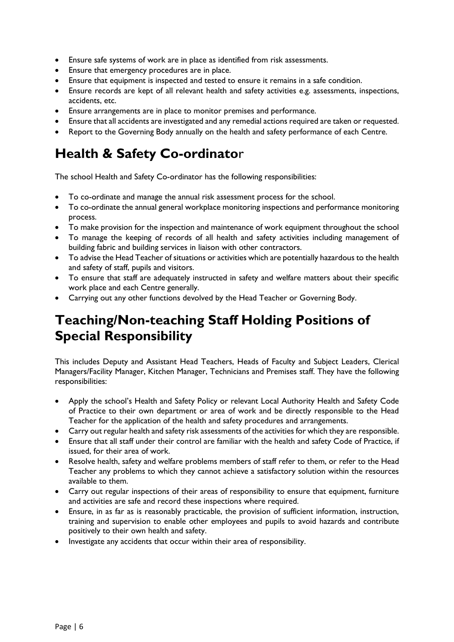- Ensure safe systems of work are in place as identified from risk assessments.
- Ensure that emergency procedures are in place.
- Ensure that equipment is inspected and tested to ensure it remains in a safe condition.
- Ensure records are kept of all relevant health and safety activities e.g. assessments, inspections, accidents, etc.
- Ensure arrangements are in place to monitor premises and performance.
- Ensure that all accidents are investigated and any remedial actions required are taken or requested.
- Report to the Governing Body annually on the health and safety performance of each Centre.

#### <span id="page-5-0"></span>**Health & Safety Co-ordinato**r

The school Health and Safety Co-ordinator has the following responsibilities:

- To co-ordinate and manage the annual risk assessment process for the school.
- To co-ordinate the annual general workplace monitoring inspections and performance monitoring process.
- To make provision for the inspection and maintenance of work equipment throughout the school
- To manage the keeping of records of all health and safety activities including management of building fabric and building services in liaison with other contractors.
- To advise the Head Teacher of situations or activities which are potentially hazardous to the health and safety of staff, pupils and visitors.
- To ensure that staff are adequately instructed in safety and welfare matters about their specific work place and each Centre generally.
- Carrying out any other functions devolved by the Head Teacher or Governing Body.

### <span id="page-5-1"></span>**Teaching/Non-teaching Staff Holding Positions of Special Responsibility**

This includes Deputy and Assistant Head Teachers, Heads of Faculty and Subject Leaders, Clerical Managers/Facility Manager, Kitchen Manager, Technicians and Premises staff. They have the following responsibilities:

- Apply the school's Health and Safety Policy or relevant Local Authority Health and Safety Code of Practice to their own department or area of work and be directly responsible to the Head Teacher for the application of the health and safety procedures and arrangements.
- Carry out regular health and safety risk assessments of the activities for which they are responsible.
- Ensure that all staff under their control are familiar with the health and safety Code of Practice, if issued, for their area of work.
- Resolve health, safety and welfare problems members of staff refer to them, or refer to the Head Teacher any problems to which they cannot achieve a satisfactory solution within the resources available to them.
- Carry out regular inspections of their areas of responsibility to ensure that equipment, furniture and activities are safe and record these inspections where required.
- Ensure, in as far as is reasonably practicable, the provision of sufficient information, instruction, training and supervision to enable other employees and pupils to avoid hazards and contribute positively to their own health and safety.
- Investigate any accidents that occur within their area of responsibility.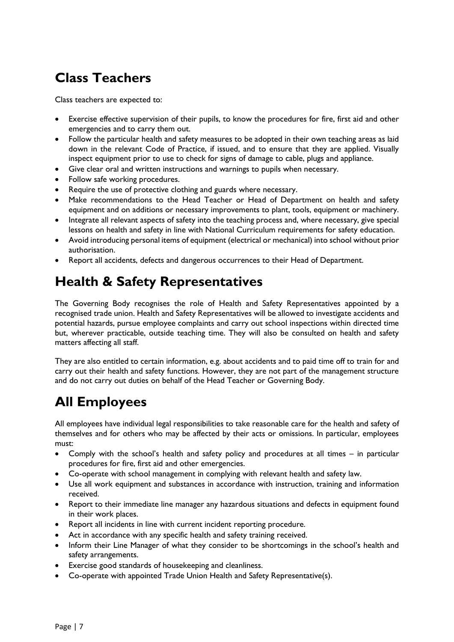# <span id="page-6-0"></span>**Class Teachers**

Class teachers are expected to:

- Exercise effective supervision of their pupils, to know the procedures for fire, first aid and other emergencies and to carry them out.
- Follow the particular health and safety measures to be adopted in their own teaching areas as laid down in the relevant Code of Practice, if issued, and to ensure that they are applied. Visually inspect equipment prior to use to check for signs of damage to cable, plugs and appliance.
- Give clear oral and written instructions and warnings to pupils when necessary.
- Follow safe working procedures.
- Require the use of protective clothing and guards where necessary.
- Make recommendations to the Head Teacher or Head of Department on health and safety equipment and on additions or necessary improvements to plant, tools, equipment or machinery.
- Integrate all relevant aspects of safety into the teaching process and, where necessary, give special lessons on health and safety in line with National Curriculum requirements for safety education.
- Avoid introducing personal items of equipment (electrical or mechanical) into school without prior authorisation.
- Report all accidents, defects and dangerous occurrences to their Head of Department.

### <span id="page-6-1"></span>**Health & Safety Representatives**

The Governing Body recognises the role of Health and Safety Representatives appointed by a recognised trade union. Health and Safety Representatives will be allowed to investigate accidents and potential hazards, pursue employee complaints and carry out school inspections within directed time but, wherever practicable, outside teaching time. They will also be consulted on health and safety matters affecting all staff.

They are also entitled to certain information, e.g. about accidents and to paid time off to train for and carry out their health and safety functions. However, they are not part of the management structure and do not carry out duties on behalf of the Head Teacher or Governing Body.

### <span id="page-6-2"></span>**All Employees**

All employees have individual legal responsibilities to take reasonable care for the health and safety of themselves and for others who may be affected by their acts or omissions. In particular, employees must:

- Comply with the school's health and safety policy and procedures at all times in particular procedures for fire, first aid and other emergencies.
- Co-operate with school management in complying with relevant health and safety law.
- Use all work equipment and substances in accordance with instruction, training and information received.
- Report to their immediate line manager any hazardous situations and defects in equipment found in their work places.
- Report all incidents in line with current incident reporting procedure.
- Act in accordance with any specific health and safety training received.
- Inform their Line Manager of what they consider to be shortcomings in the school's health and safety arrangements.
- Exercise good standards of housekeeping and cleanliness.
- Co-operate with appointed Trade Union Health and Safety Representative(s).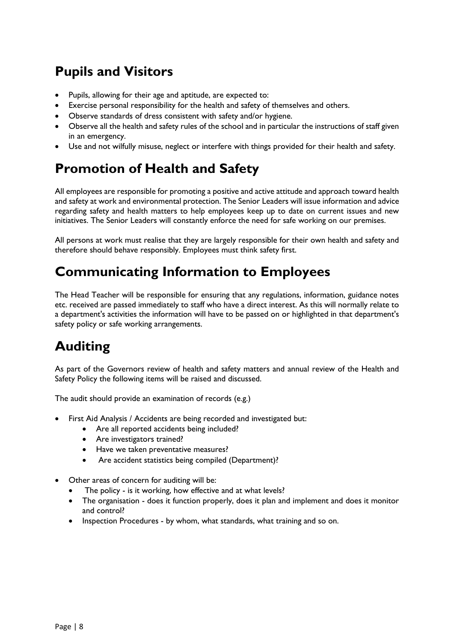# <span id="page-7-0"></span>**Pupils and Visitors**

- Pupils, allowing for their age and aptitude, are expected to:
- Exercise personal responsibility for the health and safety of themselves and others.
- Observe standards of dress consistent with safety and/or hygiene.
- Observe all the health and safety rules of the school and in particular the instructions of staff given in an emergency.
- Use and not wilfully misuse, neglect or interfere with things provided for their health and safety.

#### <span id="page-7-1"></span>**Promotion of Health and Safety**

All employees are responsible for promoting a positive and active attitude and approach toward health and safety at work and environmental protection. The Senior Leaders will issue information and advice regarding safety and health matters to help employees keep up to date on current issues and new initiatives. The Senior Leaders will constantly enforce the need for safe working on our premises.

All persons at work must realise that they are largely responsible for their own health and safety and therefore should behave responsibly. Employees must think safety first.

#### <span id="page-7-2"></span>**Communicating Information to Employees**

The Head Teacher will be responsible for ensuring that any regulations, information, guidance notes etc. received are passed immediately to staff who have a direct interest. As this will normally relate to a department's activities the information will have to be passed on or highlighted in that department's safety policy or safe working arrangements.

# <span id="page-7-3"></span>**Auditing**

As part of the Governors review of health and safety matters and annual review of the Health and Safety Policy the following items will be raised and discussed.

The audit should provide an examination of records (e.g.)

- First Aid Analysis / Accidents are being recorded and investigated but:
	- Are all reported accidents being included?
	- Are investigators trained?
	- Have we taken preventative measures?
	- Are accident statistics being compiled (Department)?
- Other areas of concern for auditing will be:
	- The policy is it working, how effective and at what levels?
	- The organisation does it function properly, does it plan and implement and does it monitor and control?
	- Inspection Procedures by whom, what standards, what training and so on.